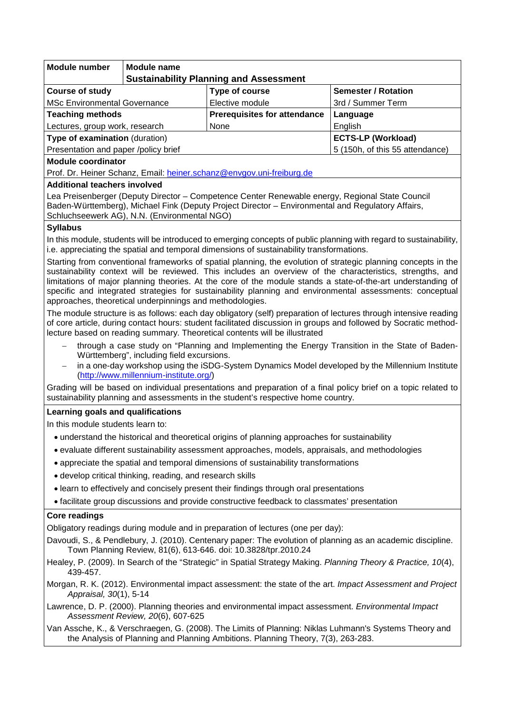| <b>Module number</b>                                                                                                                                                                                                                                                                                                                                                                                                                                                                                                | <b>Module name</b>                            |                                     |                                 |
|---------------------------------------------------------------------------------------------------------------------------------------------------------------------------------------------------------------------------------------------------------------------------------------------------------------------------------------------------------------------------------------------------------------------------------------------------------------------------------------------------------------------|-----------------------------------------------|-------------------------------------|---------------------------------|
|                                                                                                                                                                                                                                                                                                                                                                                                                                                                                                                     | <b>Sustainability Planning and Assessment</b> |                                     |                                 |
| <b>Course of study</b>                                                                                                                                                                                                                                                                                                                                                                                                                                                                                              |                                               | Type of course                      | <b>Semester / Rotation</b>      |
| <b>MSc Environmental Governance</b>                                                                                                                                                                                                                                                                                                                                                                                                                                                                                 |                                               | Elective module                     | 3rd / Summer Term               |
| <b>Teaching methods</b>                                                                                                                                                                                                                                                                                                                                                                                                                                                                                             |                                               | <b>Prerequisites for attendance</b> | Language                        |
| Lectures, group work, research                                                                                                                                                                                                                                                                                                                                                                                                                                                                                      |                                               | None                                | English                         |
| Type of examination (duration)                                                                                                                                                                                                                                                                                                                                                                                                                                                                                      |                                               |                                     | <b>ECTS-LP (Workload)</b>       |
| Presentation and paper /policy brief                                                                                                                                                                                                                                                                                                                                                                                                                                                                                |                                               |                                     | 5 (150h, of this 55 attendance) |
| Module coordinator<br>Prof. Dr. Heiner Schanz, Email: heiner.schanz@envgov.uni-freiburg.de                                                                                                                                                                                                                                                                                                                                                                                                                          |                                               |                                     |                                 |
| <b>Additional teachers involved</b>                                                                                                                                                                                                                                                                                                                                                                                                                                                                                 |                                               |                                     |                                 |
| Lea Preisenberger (Deputy Director - Competence Center Renewable energy, Regional State Council<br>Baden-Württemberg), Michael Fink (Deputy Project Director - Environmental and Regulatory Affairs,<br>Schluchseewerk AG), N.N. (Environmental NGO)                                                                                                                                                                                                                                                                |                                               |                                     |                                 |
| <b>Syllabus</b>                                                                                                                                                                                                                                                                                                                                                                                                                                                                                                     |                                               |                                     |                                 |
| In this module, students will be introduced to emerging concepts of public planning with regard to sustainability,<br>i.e. appreciating the spatial and temporal dimensions of sustainability transformations.                                                                                                                                                                                                                                                                                                      |                                               |                                     |                                 |
| Starting from conventional frameworks of spatial planning, the evolution of strategic planning concepts in the<br>sustainability context will be reviewed. This includes an overview of the characteristics, strengths, and<br>limitations of major planning theories. At the core of the module stands a state-of-the-art understanding of<br>specific and integrated strategies for sustainability planning and environmental assessments: conceptual<br>approaches, theoretical underpinnings and methodologies. |                                               |                                     |                                 |
| The module structure is as follows: each day obligatory (self) preparation of lectures through intensive reading<br>of core article, during contact hours: student facilitated discussion in groups and followed by Socratic method-<br>lecture based on reading summary. Theoretical contents will be illustrated                                                                                                                                                                                                  |                                               |                                     |                                 |
| through a case study on "Planning and Implementing the Energy Transition in the State of Baden-<br>$\qquad \qquad -$<br>Württemberg", including field excursions.<br>in a one-day workshop using the iSDG-System Dynamics Model developed by the Millennium Institute<br>$\qquad \qquad -$<br>(http://www.millennium-institute.org/)                                                                                                                                                                                |                                               |                                     |                                 |
| Grading will be based on individual presentations and preparation of a final policy brief on a topic related to<br>sustainability planning and assessments in the student's respective home country.                                                                                                                                                                                                                                                                                                                |                                               |                                     |                                 |
| Learning goals and qualifications                                                                                                                                                                                                                                                                                                                                                                                                                                                                                   |                                               |                                     |                                 |
| In this module students learn to:                                                                                                                                                                                                                                                                                                                                                                                                                                                                                   |                                               |                                     |                                 |
| • understand the historical and theoretical origins of planning approaches for sustainability                                                                                                                                                                                                                                                                                                                                                                                                                       |                                               |                                     |                                 |
| • evaluate different sustainability assessment approaches, models, appraisals, and methodologies                                                                                                                                                                                                                                                                                                                                                                                                                    |                                               |                                     |                                 |
| • appreciate the spatial and temporal dimensions of sustainability transformations                                                                                                                                                                                                                                                                                                                                                                                                                                  |                                               |                                     |                                 |
| • develop critical thinking, reading, and research skills                                                                                                                                                                                                                                                                                                                                                                                                                                                           |                                               |                                     |                                 |
| • learn to effectively and concisely present their findings through oral presentations                                                                                                                                                                                                                                                                                                                                                                                                                              |                                               |                                     |                                 |
| • facilitate group discussions and provide constructive feedback to classmates' presentation                                                                                                                                                                                                                                                                                                                                                                                                                        |                                               |                                     |                                 |
| <b>Core readings</b>                                                                                                                                                                                                                                                                                                                                                                                                                                                                                                |                                               |                                     |                                 |
| Obligatory readings during module and in preparation of lectures (one per day):                                                                                                                                                                                                                                                                                                                                                                                                                                     |                                               |                                     |                                 |
| Davoudi, S., & Pendlebury, J. (2010). Centenary paper: The evolution of planning as an academic discipline.<br>Town Planning Review, 81(6), 613-646. doi: 10.3828/tpr.2010.24                                                                                                                                                                                                                                                                                                                                       |                                               |                                     |                                 |
| Healey, P. (2009). In Search of the "Strategic" in Spatial Strategy Making. Planning Theory & Practice, 10(4),<br>439-457.                                                                                                                                                                                                                                                                                                                                                                                          |                                               |                                     |                                 |
| Morgan, R. K. (2012). Environmental impact assessment: the state of the art. Impact Assessment and Project<br>Appraisal, 30(1), 5-14                                                                                                                                                                                                                                                                                                                                                                                |                                               |                                     |                                 |
| Lawrence, D. P. (2000). Planning theories and environmental impact assessment. Environmental Impact<br>Assessment Review, 20(6), 607-625                                                                                                                                                                                                                                                                                                                                                                            |                                               |                                     |                                 |
| Van Assche, K., & Verschraegen, G. (2008). The Limits of Planning: Niklas Luhmann's Systems Theory and<br>the Analysis of Planning and Planning Ambitions. Planning Theory, 7(3), 263-283.                                                                                                                                                                                                                                                                                                                          |                                               |                                     |                                 |